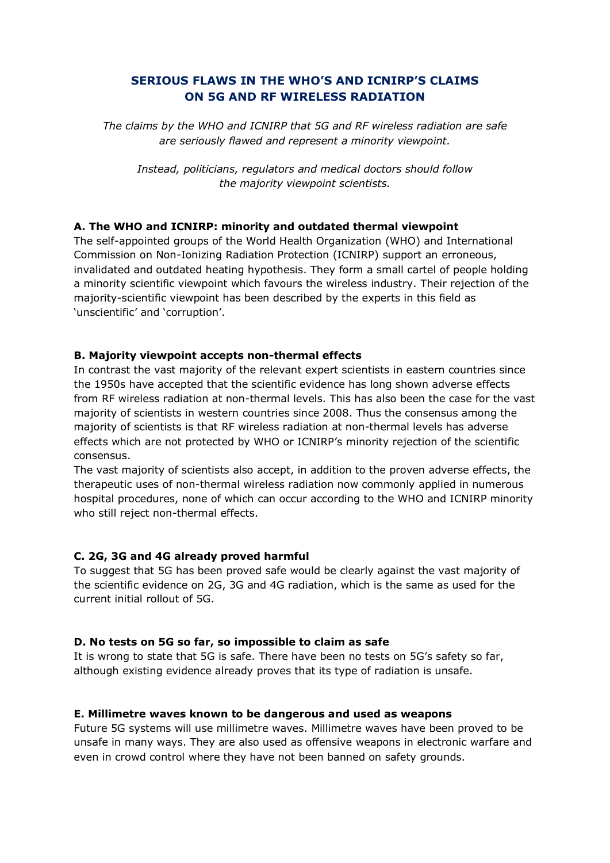# **SERIOUS FLAWS IN THE WHO'S AND ICNIRP'S CLAIMS ON 5G AND RF WIRELESS RADIATION**

*The claims by the WHO and ICNIRP that 5G and RF wireless radiation are safe are seriously flawed and represent a minority viewpoint.*

*Instead, politicians, regulators and medical doctors should follow the majority viewpoint scientists.*

## **A. The WHO and ICNIRP: minority and outdated thermal viewpoint**

The self-appointed groups of the World Health Organization (WHO) and International Commission on Non-Ionizing Radiation Protection (ICNIRP) support an erroneous, invalidated and outdated heating hypothesis. They form a small cartel of people holding a minority scientific viewpoint which favours the wireless industry. Their rejection of the majority-scientific viewpoint has been described by the experts in this field as 'unscientific' and 'corruption'.

## **B. Majority viewpoint accepts non-thermal effects**

In contrast the vast majority of the relevant expert scientists in eastern countries since the 1950s have accepted that the scientific evidence has long shown adverse effects from RF wireless radiation at non-thermal levels. This has also been the case for the vast majority of scientists in western countries since 2008. Thus the consensus among the majority of scientists is that RF wireless radiation at non-thermal levels has adverse effects which are not protected by WHO or ICNIRP's minority rejection of the scientific consensus.

The vast majority of scientists also accept, in addition to the proven adverse effects, the therapeutic uses of non-thermal wireless radiation now commonly applied in numerous hospital procedures, none of which can occur according to the WHO and ICNIRP minority who still reject non-thermal effects.

## **C. 2G, 3G and 4G already proved harmful**

To suggest that 5G has been proved safe would be clearly against the vast majority of the scientific evidence on 2G, 3G and 4G radiation, which is the same as used for the current initial rollout of 5G.

## **D. No tests on 5G so far, so impossible to claim as safe**

It is wrong to state that 5G is safe. There have been no tests on 5G's safety so far, although existing evidence already proves that its type of radiation is unsafe.

## **E. Millimetre waves known to be dangerous and used as weapons**

Future 5G systems will use millimetre waves. Millimetre waves have been proved to be unsafe in many ways. They are also used as offensive weapons in electronic warfare and even in crowd control where they have not been banned on safety grounds.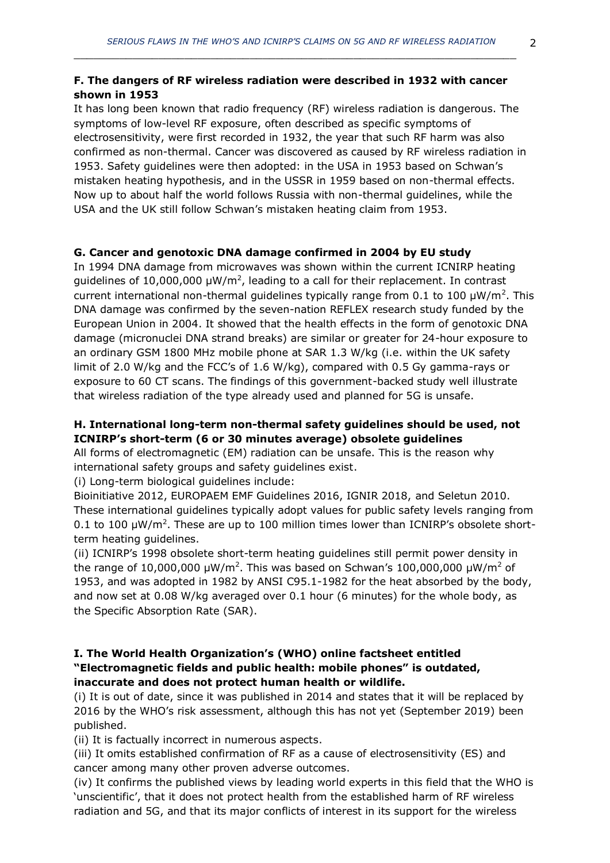## **F. The dangers of RF wireless radiation were described in 1932 with cancer shown in 1953**

It has long been known that radio frequency (RF) wireless radiation is dangerous. The symptoms of low-level RF exposure, often described as specific symptoms of electrosensitivity, were first recorded in 1932, the year that such RF harm was also confirmed as non-thermal. Cancer was discovered as caused by RF wireless radiation in 1953. Safety guidelines were then adopted: in the USA in 1953 based on Schwan's mistaken heating hypothesis, and in the USSR in 1959 based on non-thermal effects. Now up to about half the world follows Russia with non-thermal guidelines, while the USA and the UK still follow Schwan's mistaken heating claim from 1953.

## **G. Cancer and genotoxic DNA damage confirmed in 2004 by EU study**

In 1994 DNA damage from microwaves was shown within the current ICNIRP heating guidelines of 10,000,000  $\mu$ W/m<sup>2</sup>, leading to a call for their replacement. In contrast current international non-thermal guidelines typically range from 0.1 to 100  $\mu$ W/m<sup>2</sup>. This DNA damage was confirmed by the seven-nation REFLEX research study funded by the European Union in 2004. It showed that the health effects in the form of genotoxic DNA damage (micronuclei DNA strand breaks) are similar or greater for 24-hour exposure to an ordinary GSM 1800 MHz mobile phone at SAR 1.3 W/kg (i.e. within the UK safety limit of 2.0 W/kg and the FCC's of 1.6 W/kg), compared with 0.5 Gy gamma-rays or exposure to 60 CT scans. The findings of this government-backed study well illustrate that wireless radiation of the type already used and planned for 5G is unsafe.

## **H. International long-term non-thermal safety guidelines should be used, not ICNIRP's short-term (6 or 30 minutes average) obsolete guidelines**

All forms of electromagnetic (EM) radiation can be unsafe. This is the reason why international safety groups and safety guidelines exist.

(i) Long-term biological guidelines include:

Bioinitiative 2012, EUROPAEM EMF Guidelines 2016, IGNIR 2018, and Seletun 2010. These international guidelines typically adopt values for public safety levels ranging from 0.1 to 100  $\mu$ W/m<sup>2</sup>. These are up to 100 million times lower than ICNIRP's obsolete shortterm heating guidelines.

(ii) ICNIRP's 1998 obsolete short-term heating guidelines still permit power density in the range of 10,000,000  $\mu$ W/m<sup>2</sup>. This was based on Schwan's 100,000,000  $\mu$ W/m<sup>2</sup> of 1953, and was adopted in 1982 by ANSI C95.1-1982 for the heat absorbed by the body, and now set at 0.08 W/kg averaged over 0.1 hour (6 minutes) for the whole body, as the Specific Absorption Rate (SAR).

## **I. The World Health Organization's (WHO) online factsheet entitled "Electromagnetic fields and public health: mobile phones" is outdated, inaccurate and does not protect human health or wildlife.**

(i) It is out of date, since it was published in 2014 and states that it will be replaced by 2016 by the WHO's risk assessment, although this has not yet (September 2019) been published.

(ii) It is factually incorrect in numerous aspects.

(iii) It omits established confirmation of RF as a cause of electrosensitivity (ES) and cancer among many other proven adverse outcomes.

(iv) It confirms the published views by leading world experts in this field that the WHO is 'unscientific', that it does not protect health from the established harm of RF wireless radiation and 5G, and that its major conflicts of interest in its support for the wireless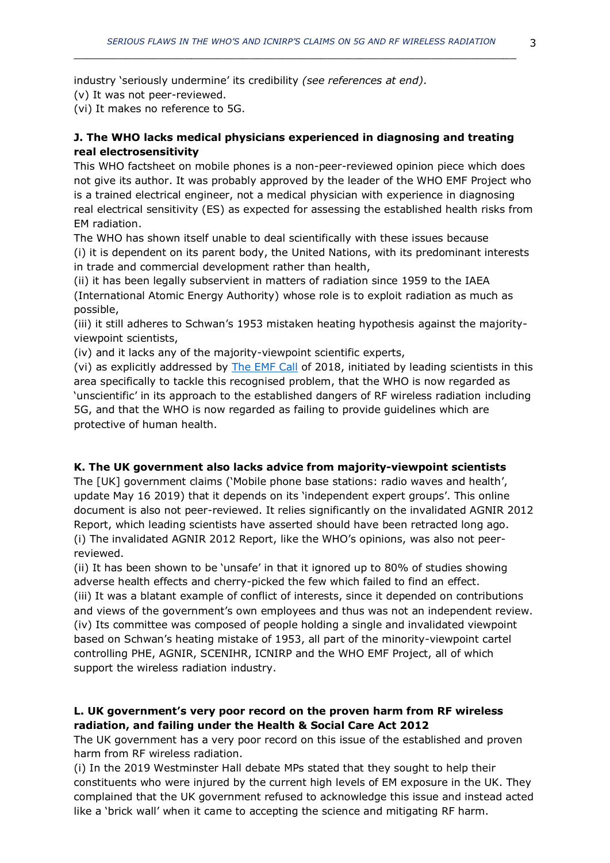industry 'seriously undermine' its credibility *(see references at end)*.

(v) It was not peer-reviewed.

(vi) It makes no reference to 5G.

## **J. The WHO lacks medical physicians experienced in diagnosing and treating real electrosensitivity**

This WHO factsheet on mobile phones is a non-peer-reviewed opinion piece which does not give its author. It was probably approved by the leader of the WHO EMF Project who is a trained electrical engineer, not a medical physician with experience in diagnosing real electrical sensitivity (ES) as expected for assessing the established health risks from EM radiation.

The WHO has shown itself unable to deal scientifically with these issues because (i) it is dependent on its parent body, the United Nations, with its predominant interests in trade and commercial development rather than health,

(ii) it has been legally subservient in matters of radiation since 1959 to the IAEA (International Atomic Energy Authority) whose role is to exploit radiation as much as possible,

(iii) it still adheres to Schwan's 1953 mistaken heating hypothesis against the majorityviewpoint scientists,

(iv) and it lacks any of the majority-viewpoint scientific experts,

(vi) as explicitly addressed by [The EMF Call](https://www.emfcall.org/) of 2018, initiated by leading scientists in this area specifically to tackle this recognised problem, that the WHO is now regarded as 'unscientific' in its approach to the established dangers of RF wireless radiation including 5G, and that the WHO is now regarded as failing to provide guidelines which are protective of human health.

## **K. The UK government also lacks advice from majority-viewpoint scientists**

The [UK] government claims ('Mobile phone base stations: radio waves and health', update May 16 2019) that it depends on its 'independent expert groups'. This online document is also not peer-reviewed. It relies significantly on the invalidated AGNIR 2012 Report, which leading scientists have asserted should have been retracted long ago. (i) The invalidated AGNIR 2012 Report, like the WHO's opinions, was also not peerreviewed.

(ii) It has been shown to be 'unsafe' in that it ignored up to 80% of studies showing adverse health effects and cherry-picked the few which failed to find an effect.

(iii) It was a blatant example of conflict of interests, since it depended on contributions and views of the government's own employees and thus was not an independent review. (iv) Its committee was composed of people holding a single and invalidated viewpoint based on Schwan's heating mistake of 1953, all part of the minority-viewpoint cartel controlling PHE, AGNIR, SCENIHR, ICNIRP and the WHO EMF Project, all of which support the wireless radiation industry.

## **L. UK government's very poor record on the proven harm from RF wireless radiation, and failing under the Health & Social Care Act 2012**

The UK government has a very poor record on this issue of the established and proven harm from RF wireless radiation.

(i) In the 2019 Westminster Hall debate MPs stated that they sought to help their constituents who were injured by the current high levels of EM exposure in the UK. They complained that the UK government refused to acknowledge this issue and instead acted like a 'brick wall' when it came to accepting the science and mitigating RF harm.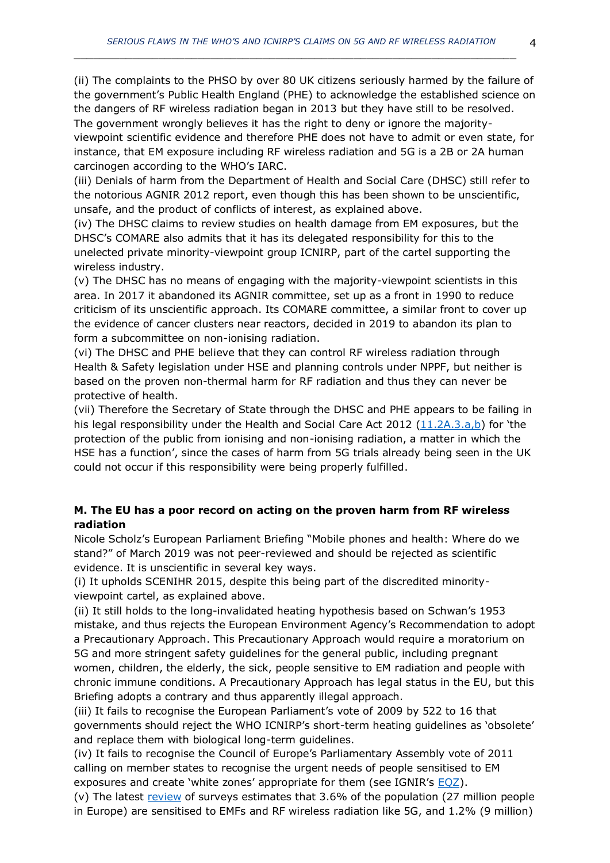(ii) The complaints to the PHSO by over 80 UK citizens seriously harmed by the failure of the government's Public Health England (PHE) to acknowledge the established science on the dangers of RF wireless radiation began in 2013 but they have still to be resolved. The government wrongly believes it has the right to deny or ignore the majorityviewpoint scientific evidence and therefore PHE does not have to admit or even state, for instance, that EM exposure including RF wireless radiation and 5G is a 2B or 2A human carcinogen according to the WHO's IARC.

(iii) Denials of harm from the Department of Health and Social Care (DHSC) still refer to the notorious AGNIR 2012 report, even though this has been shown to be unscientific, unsafe, and the product of conflicts of interest, as explained above.

(iv) The DHSC claims to review studies on health damage from EM exposures, but the DHSC's COMARE also admits that it has its delegated responsibility for this to the unelected private minority-viewpoint group ICNIRP, part of the cartel supporting the wireless industry.

(v) The DHSC has no means of engaging with the majority-viewpoint scientists in this area. In 2017 it abandoned its AGNIR committee, set up as a front in 1990 to reduce criticism of its unscientific approach. Its COMARE committee, a similar front to cover up the evidence of cancer clusters near reactors, decided in 2019 to abandon its plan to form a subcommittee on non-ionising radiation.

(vi) The DHSC and PHE believe that they can control RF wireless radiation through Health & Safety legislation under HSE and planning controls under NPPF, but neither is based on the proven non-thermal harm for RF radiation and thus they can never be protective of health.

(vii) Therefore the Secretary of State through the DHSC and PHE appears to be failing in his legal responsibility under the Health and Social Care Act 2012 [\(11.2A.3.a,b\)](http://www.legislation.gov.uk/ukpga/2012/7/section/11/enacted?view=plain) for 'the protection of the public from ionising and non-ionising radiation, a matter in which the HSE has a function', since the cases of harm from 5G trials already being seen in the UK could not occur if this responsibility were being properly fulfilled.

## **M. The EU has a poor record on acting on the proven harm from RF wireless radiation**

Nicole Scholz's European Parliament Briefing "Mobile phones and health: Where do we stand?" of March 2019 was not peer-reviewed and should be rejected as scientific evidence. It is unscientific in several key ways.

(i) It upholds SCENIHR 2015, despite this being part of the discredited minorityviewpoint cartel, as explained above.

(ii) It still holds to the long-invalidated heating hypothesis based on Schwan's 1953 mistake, and thus rejects the European Environment Agency's Recommendation to adopt a Precautionary Approach. This Precautionary Approach would require a moratorium on 5G and more stringent safety guidelines for the general public, including pregnant women, children, the elderly, the sick, people sensitive to EM radiation and people with chronic immune conditions. A Precautionary Approach has legal status in the EU, but this Briefing adopts a contrary and thus apparently illegal approach.

(iii) It fails to recognise the European Parliament's vote of 2009 by 522 to 16 that governments should reject the WHO ICNIRP's short-term heating guidelines as 'obsolete' and replace them with biological long-term guidelines.

(iv) It fails to recognise the Council of Europe's Parliamentary Assembly vote of 2011 calling on member states to recognise the urgent needs of people sensitised to EM exposures and create 'white zones' appropriate for them (see IGNIR's  $EQZ$ ).

(v) The latest [review](https://www.ommegaonline.org/article-details/The-Prevalence-of-People-With-Restricted-Access-to-Work-in-Man-Made-Electromagnetic-Environments/2402) of surveys estimates that  $3.6\%$  of the population (27 million people in Europe) are sensitised to EMFs and RF wireless radiation like 5G, and 1.2% (9 million)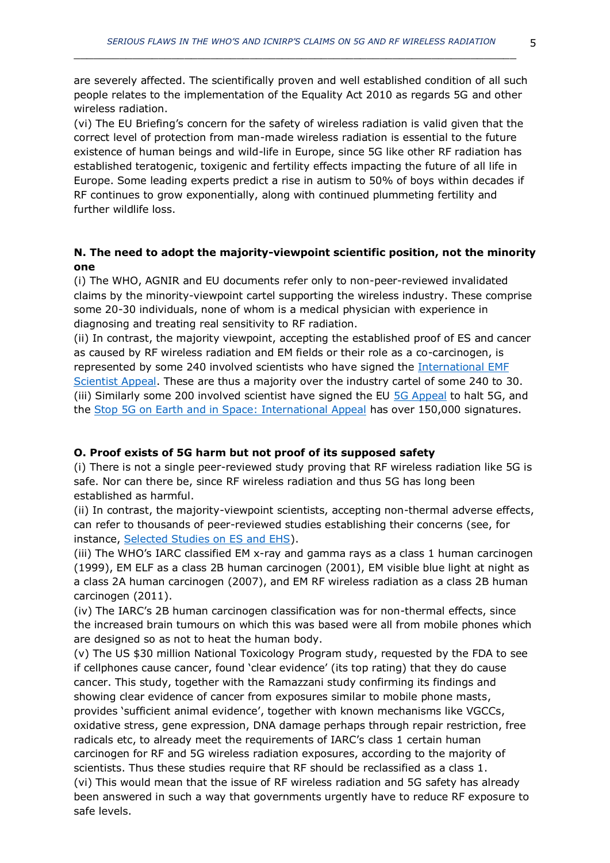are severely affected. The scientifically proven and well established condition of all such people relates to the implementation of the Equality Act 2010 as regards 5G and other wireless radiation.

(vi) The EU Briefing's concern for the safety of wireless radiation is valid given that the correct level of protection from man-made wireless radiation is essential to the future existence of human beings and wild-life in Europe, since 5G like other RF radiation has established teratogenic, toxigenic and fertility effects impacting the future of all life in Europe. Some leading experts predict a rise in autism to 50% of boys within decades if RF continues to grow exponentially, along with continued plummeting fertility and further wildlife loss.

#### **N. The need to adopt the majority-viewpoint scientific position, not the minority one**

(i) The WHO, AGNIR and EU documents refer only to non-peer-reviewed invalidated claims by the minority-viewpoint cartel supporting the wireless industry. These comprise some 20-30 individuals, none of whom is a medical physician with experience in diagnosing and treating real sensitivity to RF radiation.

(ii) In contrast, the majority viewpoint, accepting the established proof of ES and cancer as caused by RF wireless radiation and EM fields or their role as a co-carcinogen, is represented by some 240 involved scientists who have signed the [International EMF](https://www.emfscientist.org/)  [Scientist Appeal.](https://www.emfscientist.org/) These are thus a majority over the industry cartel of some 240 to 30. (iii) Similarly some 200 involved scientist have signed the EU [5G Appeal](http://www.5gappeal.eu/) to halt 5G, and the [Stop 5G on Earth and in Space: International Appeal](https://www.5gspaceappeal.org/) has over 150,000 signatures.

#### **O. Proof exists of 5G harm but not proof of its supposed safety**

(i) There is not a single peer-reviewed study proving that RF wireless radiation like 5G is safe. Nor can there be, since RF wireless radiation and thus 5G has long been established as harmful.

(ii) In contrast, the majority-viewpoint scientists, accepting non-thermal adverse effects, can refer to thousands of peer-reviewed studies establishing their concerns (see, for instance, [Selected Studies on ES and EHS\)](http://www.es-uk.info/wp-content/uploads/2018/05/Selected%20ES%20and%20EHS%20studies.pdf).

(iii) The WHO's IARC classified EM x-ray and gamma rays as a class 1 human carcinogen (1999), EM ELF as a class 2B human carcinogen (2001), EM visible blue light at night as a class 2A human carcinogen (2007), and EM RF wireless radiation as a class 2B human carcinogen (2011).

(iv) The IARC's 2B human carcinogen classification was for non-thermal effects, since the increased brain tumours on which this was based were all from mobile phones which are designed so as not to heat the human body.

(v) The US \$30 million National Toxicology Program study, requested by the FDA to see if cellphones cause cancer, found 'clear evidence' (its top rating) that they do cause cancer. This study, together with the Ramazzani study confirming its findings and showing clear evidence of cancer from exposures similar to mobile phone masts, provides 'sufficient animal evidence', together with known mechanisms like VGCCs, oxidative stress, gene expression, DNA damage perhaps through repair restriction, free radicals etc, to already meet the requirements of IARC's class 1 certain human carcinogen for RF and 5G wireless radiation exposures, according to the majority of scientists. Thus these studies require that RF should be reclassified as a class 1. (vi) This would mean that the issue of RF wireless radiation and 5G safety has already been answered in such a way that governments urgently have to reduce RF exposure to safe levels.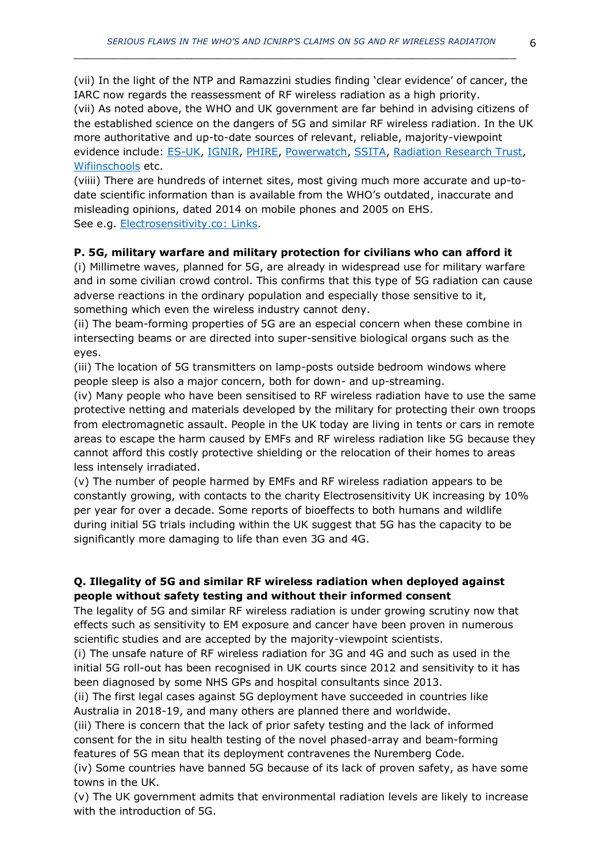(vii) In the light of the NTP and Ramazzini studies finding 'clear evidence' of cancer, the IARC now regards the reassessment of RF wireless radiation as a high priority. (vii) As noted above, the WHO and UK government are far behind in advising citizens of the established science on the dangers of 5G and similar RF wireless radiation. In the UK more authoritative and up-to-date sources of relevant, reliable, majority-viewpoint evidence include: [ES-UK,](http://www.es-uk.info/) [IGNIR,](https://www.ignir.org/) [PHIRE,](http://phiremedical.org/) [Powerwatch,](https://www.powerwatch.org.uk/) [SSITA,](https://ssita.org.uk/) [Radiation Research Trust,](https://www.radiationresearch.org/) [Wifiinschools](http://wifiinschools.org.uk/) etc.

(viiii) There are hundreds of internet sites, most giving much more accurate and up-todate scientific information than is available from the WHO's outdated, inaccurate and misleading opinions, dated 2014 on mobile phones and 2005 on EHS. See e.g. [Electrosensitivity.co:](https://www.electrosensitivity.co/links-1.html) Links.

## **P. 5G, military warfare and military protection for civilians who can afford it**

(i) Millimetre waves, planned for 5G, are already in widespread use for military warfare and in some civilian crowd control. This confirms that this type of 5G radiation can cause adverse reactions in the ordinary population and especially those sensitive to it, something which even the wireless industry cannot deny.

(ii) The beam-forming properties of 5G are an especial concern when these combine in intersecting beams or are directed into super-sensitive biological organs such as the eyes.

(iii) The location of 5G transmitters on lamp-posts outside bedroom windows where people sleep is also a major concern, both for down- and up-streaming.

(iv) Many people who have been sensitised to RF wireless radiation have to use the same protective netting and materials developed by the military for protecting their own troops from electromagnetic assault. People in the UK today are living in tents or cars in remote areas to escape the harm caused by EMFs and RF wireless radiation like 5G because they cannot afford this costly protective shielding or the relocation of their homes to areas less intensely irradiated.

(v) The number of people harmed by EMFs and RF wireless radiation appears to be constantly growing, with contacts to the charity Electrosensitivity UK increasing by 10% per year for over a decade. Some reports of bioeffects to both humans and wildlife during initial 5G trials including within the UK suggest that 5G has the capacity to be significantly more damaging to life than even 3G and 4G.

## **Q. Illegality of 5G and similar RF wireless radiation when deployed against people without safety testing and without their informed consent**

The legality of 5G and similar RF wireless radiation is under growing scrutiny now that effects such as sensitivity to EM exposure and cancer have been proven in numerous scientific studies and are accepted by the majority-viewpoint scientists.

(i) The unsafe nature of RF wireless radiation for 3G and 4G and such as used in the initial 5G roll-out has been recognised in UK courts since 2012 and sensitivity to it has been diagnosed by some NHS GPs and hospital consultants since 2013.

(ii) The first legal cases against 5G deployment have succeeded in countries like Australia in 2018-19, and many others are planned there and worldwide.

(iii) There is concern that the lack of prior safety testing and the lack of informed consent for the in situ health testing of the novel phased-array and beam-forming features of 5G mean that its deployment contravenes the Nuremberg Code.

(iv) Some countries have banned 5G because of its lack of proven safety, as have some towns in the UK.

(v) The UK government admits that environmental radiation levels are likely to increase with the introduction of 5G.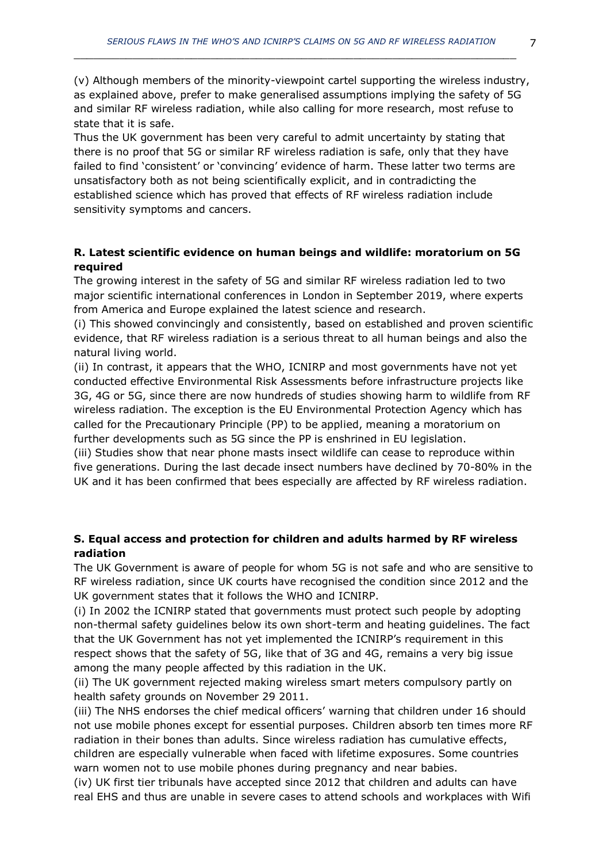Thus the UK government has been very careful to admit uncertainty by stating that there is no proof that 5G or similar RF wireless radiation is safe, only that they have failed to find 'consistent' or 'convincing' evidence of harm. These latter two terms are unsatisfactory both as not being scientifically explicit, and in contradicting the established science which has proved that effects of RF wireless radiation include sensitivity symptoms and cancers.

## **R. Latest scientific evidence on human beings and wildlife: moratorium on 5G required**

The growing interest in the safety of 5G and similar RF wireless radiation led to two major scientific international conferences in London in September 2019, where experts from America and Europe explained the latest science and research.

(i) This showed convincingly and consistently, based on established and proven scientific evidence, that RF wireless radiation is a serious threat to all human beings and also the natural living world.

(ii) In contrast, it appears that the WHO, ICNIRP and most governments have not yet conducted effective Environmental Risk Assessments before infrastructure projects like 3G, 4G or 5G, since there are now hundreds of studies showing harm to wildlife from RF wireless radiation. The exception is the EU Environmental Protection Agency which has called for the Precautionary Principle (PP) to be applied, meaning a moratorium on further developments such as 5G since the PP is enshrined in EU legislation.

(iii) Studies show that near phone masts insect wildlife can cease to reproduce within five generations. During the last decade insect numbers have declined by 70-80% in the UK and it has been confirmed that bees especially are affected by RF wireless radiation.

## **S. Equal access and protection for children and adults harmed by RF wireless radiation**

The UK Government is aware of people for whom 5G is not safe and who are sensitive to RF wireless radiation, since UK courts have recognised the condition since 2012 and the UK government states that it follows the WHO and ICNIRP.

(i) In 2002 the ICNIRP stated that governments must protect such people by adopting non-thermal safety guidelines below its own short-term and heating guidelines. The fact that the UK Government has not yet implemented the ICNIRP's requirement in this respect shows that the safety of 5G, like that of 3G and 4G, remains a very big issue among the many people affected by this radiation in the UK.

(ii) The UK government rejected making wireless smart meters compulsory partly on health safety grounds on November 29 2011.

(iii) The NHS endorses the chief medical officers' warning that children under 16 should not use mobile phones except for essential purposes. Children absorb ten times more RF radiation in their bones than adults. Since wireless radiation has cumulative effects, children are especially vulnerable when faced with lifetime exposures. Some countries warn women not to use mobile phones during pregnancy and near babies.

(iv) UK first tier tribunals have accepted since 2012 that children and adults can have real EHS and thus are unable in severe cases to attend schools and workplaces with Wifi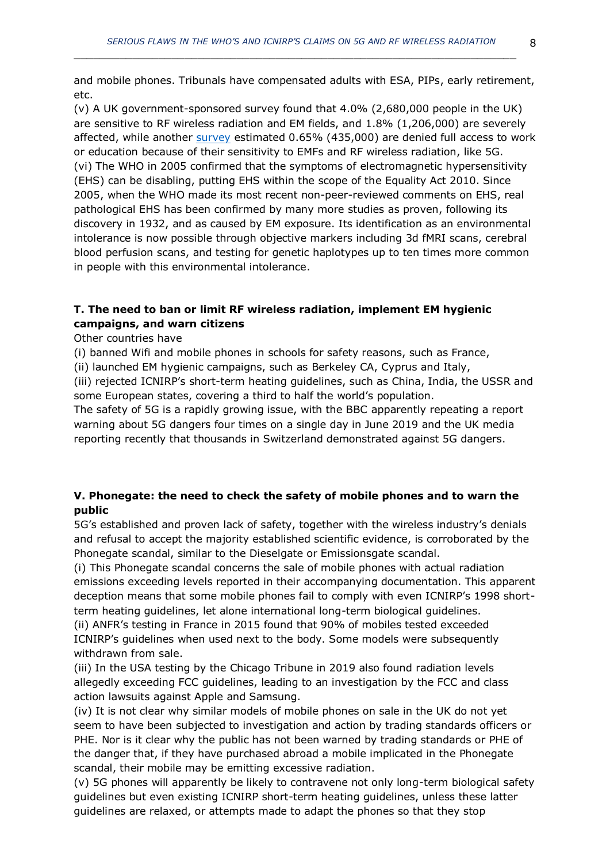and mobile phones. Tribunals have compensated adults with ESA, PIPs, early retirement, etc.

(v) A UK government-sponsored survey found that 4.0% (2,680,000 people in the UK) are sensitive to RF wireless radiation and EM fields, and 1.8% (1,206,000) are severely affected, while another [survey](https://www.ommegaonline.org/article-details/The-Prevalence-of-People-With-Restricted-Access-to-Work-in-Man-Made-Electromagnetic-Environments/2402) estimated 0.65% (435,000) are denied full access to work or education because of their sensitivity to EMFs and RF wireless radiation, like 5G. (vi) The WHO in 2005 confirmed that the symptoms of electromagnetic hypersensitivity (EHS) can be disabling, putting EHS within the scope of the Equality Act 2010. Since 2005, when the WHO made its most recent non-peer-reviewed comments on EHS, real pathological EHS has been confirmed by many more studies as proven, following its discovery in 1932, and as caused by EM exposure. Its identification as an environmental intolerance is now possible through objective markers including 3d fMRI scans, cerebral blood perfusion scans, and testing for genetic haplotypes up to ten times more common in people with this environmental intolerance.

## **T. The need to ban or limit RF wireless radiation, implement EM hygienic campaigns, and warn citizens**

Other countries have

(i) banned Wifi and mobile phones in schools for safety reasons, such as France,

(ii) launched EM hygienic campaigns, such as Berkeley CA, Cyprus and Italy,

(iii) rejected ICNIRP's short-term heating guidelines, such as China, India, the USSR and some European states, covering a third to half the world's population.

The safety of 5G is a rapidly growing issue, with the BBC apparently repeating a report warning about 5G dangers four times on a single day in June 2019 and the UK media reporting recently that thousands in Switzerland demonstrated against 5G dangers.

## **V. Phonegate: the need to check the safety of mobile phones and to warn the public**

5G's established and proven lack of safety, together with the wireless industry's denials and refusal to accept the majority established scientific evidence, is corroborated by the Phonegate scandal, similar to the Dieselgate or Emissionsgate scandal.

(i) This Phonegate scandal concerns the sale of mobile phones with actual radiation emissions exceeding levels reported in their accompanying documentation. This apparent deception means that some mobile phones fail to comply with even ICNIRP's 1998 shortterm heating guidelines, let alone international long-term biological guidelines.

(ii) ANFR's testing in France in 2015 found that 90% of mobiles tested exceeded ICNIRP's guidelines when used next to the body. Some models were subsequently withdrawn from sale.

(iii) In the USA testing by the Chicago Tribune in 2019 also found radiation levels allegedly exceeding FCC guidelines, leading to an investigation by the FCC and class action lawsuits against Apple and Samsung.

(iv) It is not clear why similar models of mobile phones on sale in the UK do not yet seem to have been subjected to investigation and action by trading standards officers or PHE. Nor is it clear why the public has not been warned by trading standards or PHE of the danger that, if they have purchased abroad a mobile implicated in the Phonegate scandal, their mobile may be emitting excessive radiation.

(v) 5G phones will apparently be likely to contravene not only long-term biological safety guidelines but even existing ICNIRP short-term heating guidelines, unless these latter guidelines are relaxed, or attempts made to adapt the phones so that they stop